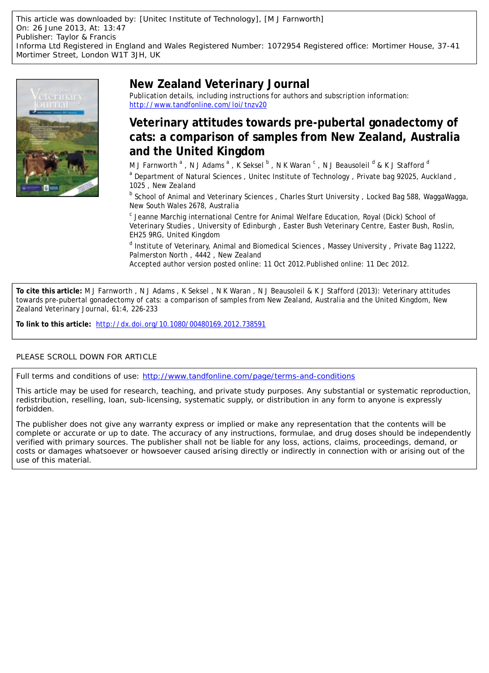This article was downloaded by: [Unitec Institute of Technology], [M J Farnworth] On: 26 June 2013, At: 13:47 Publisher: Taylor & Francis Informa Ltd Registered in England and Wales Registered Number: 1072954 Registered office: Mortimer House, 37-41 Mortimer Street, London W1T 3JH, UK



# **New Zealand Veterinary Journal**

Publication details, including instructions for authors and subscription information: <http://www.tandfonline.com/loi/tnzv20>

# **Veterinary attitudes towards pre-pubertal gonadectomy of cats: a comparison of samples from New Zealand, Australia and the United Kingdom**

M J Farnworth  $^{\rm a}$  , N J Adams  $^{\rm a}$  , K Seksel  $^{\rm b}$  , N K Waran  $^{\rm c}$  , N J Beausoleil  $^{\rm d}$  & K J Stafford  $^{\rm d}$ <sup>a</sup> Department of Natural Sciences, Unitec Institute of Technology, Private bag 92025, Auckland, 1025 , New Zealand

<sup>b</sup> School of Animal and Veterinary Sciences, Charles Sturt University, Locked Bag 588, WaggaWagga, New South Wales 2678, Australia

<sup>c</sup> Jeanne Marchig international Centre for Animal Welfare Education, Royal (Dick) School of Veterinary Studies , University of Edinburgh , Easter Bush Veterinary Centre, Easter Bush, Roslin, EH25 9RG, United Kingdom

<sup>d</sup> Institute of Veterinary, Animal and Biomedical Sciences, Massey University, Private Bag 11222, Palmerston North , 4442 , New Zealand

Accepted author version posted online: 11 Oct 2012. Published online: 11 Dec 2012.

**To cite this article:** M J Farnworth , N J Adams , K Seksel , N K Waran , N J Beausoleil & K J Stafford (2013): Veterinary attitudes towards pre-pubertal gonadectomy of cats: a comparison of samples from New Zealand, Australia and the United Kingdom, New Zealand Veterinary Journal, 61:4, 226-233

**To link to this article:** <http://dx.doi.org/10.1080/00480169.2012.738591>

## PLEASE SCROLL DOWN FOR ARTICLE

Full terms and conditions of use:<http://www.tandfonline.com/page/terms-and-conditions>

This article may be used for research, teaching, and private study purposes. Any substantial or systematic reproduction, redistribution, reselling, loan, sub-licensing, systematic supply, or distribution in any form to anyone is expressly forbidden.

The publisher does not give any warranty express or implied or make any representation that the contents will be complete or accurate or up to date. The accuracy of any instructions, formulae, and drug doses should be independently verified with primary sources. The publisher shall not be liable for any loss, actions, claims, proceedings, demand, or costs or damages whatsoever or howsoever caused arising directly or indirectly in connection with or arising out of the use of this material.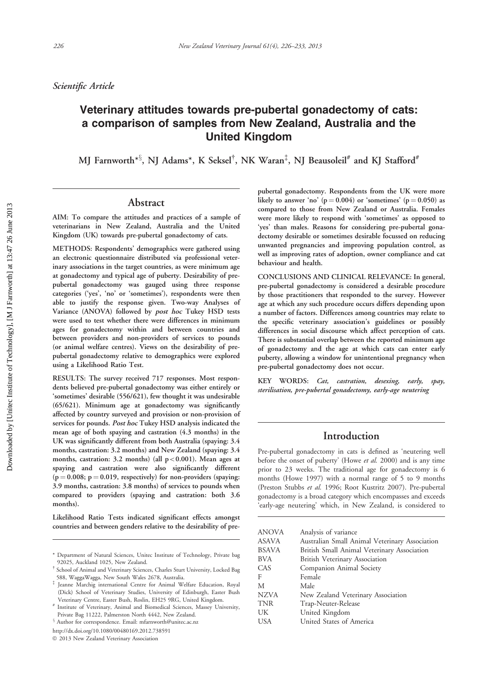#### Scientific Article

## Veterinary attitudes towards pre-pubertal gonadectomy of cats: a comparison of samples from New Zealand, Australia and the United Kingdom

MJ Farnworth $^{*{\S}},$  NJ Adams $^*,$  K Seksel $^{\dagger},$  NK Waran $^{\ddagger},$  NJ Beausoleil $^{\#}$  and KJ Stafford $^{\#}$ 

### Abstract

AIM: To compare the attitudes and practices of a sample of veterinarians in New Zealand, Australia and the United Kingdom (UK) towards pre-pubertal gonadectomy of cats.

METHODS: Respondents' demographics were gathered using an electronic questionnaire distributed via professional veterinary associations in the target countries, as were minimum age at gonadectomy and typical age of puberty. Desirability of prepubertal gonadectomy was gauged using three response categories ('yes', 'no' or 'sometimes'), respondents were then able to justify the response given. Two-way Analyses of Variance (ANOVA) followed by post hoc Tukey HSD tests were used to test whether there were differences in minimum ages for gonadectomy within and between countries and between providers and non-providers of services to pounds (or animal welfare centres). Views on the desirability of prepubertal gonadectomy relative to demographics were explored using a Likelihood Ratio Test.

RESULTS: The survey received 717 responses. Most respondents believed pre-pubertal gonadectomy was either entirely or 'sometimes' desirable (556/621), few thought it was undesirable (65/621). Minimum age at gonadectomy was significantly affected by country surveyed and provision or non-provision of services for pounds. Post hoc Tukey HSD analysis indicated the mean age of both spaying and castration (4.3 months) in the UK was significantly different from both Australia (spaying: 3.4 months, castration: 3.2 months) and New Zealand (spaying: 3.4 months, castration: 3.2 months) (all  $p<0.001$ ). Mean ages at spaying and castration were also significantly different  $(p = 0.008; p = 0.019$ , respectively) for non-providers (spaying: 3.9 months, castration: 3.8 months) of services to pounds when compared to providers (spaying and castration: both 3.6 months).

Likelihood Ratio Tests indicated significant effects amongst countries and between genders relative to the desirability of prepubertal gonadectomy. Respondents from the UK were more likely to answer 'no' ( $p = 0.004$ ) or 'sometimes' ( $p = 0.050$ ) as compared to those from New Zealand or Australia. Females were more likely to respond with 'sometimes' as opposed to 'yes' than males. Reasons for considering pre-pubertal gonadectomy desirable or sometimes desirable focussed on reducing unwanted pregnancies and improving population control, as well as improving rates of adoption, owner compliance and cat behaviour and health.

CONCLUSIONS AND CLINICAL RELEVANCE: In general, pre-pubertal gonadectomy is considered a desirable procedure by those practitioners that responded to the survey. However age at which any such procedure occurs differs depending upon a number of factors. Differences among countries may relate to the specific veterinary association's guidelines or possibly differences in social discourse which affect perception of cats. There is substantial overlap between the reported minimum age of gonadectomy and the age at which cats can enter early puberty, allowing a window for unintentional pregnancy when pre-pubertal gonadectomy does not occur.

KEY WORDS: Cat, castration, desexing, early, spay, sterilisation, pre-pubertal gonadectomy, early-age neutering

## Introduction

Pre-pubertal gonadectomy in cats is defined as 'neutering well before the onset of puberty' (Howe et al. 2000) and is any time prior to 23 weeks. The traditional age for gonadectomy is 6 months (Howe 1997) with a normal range of 5 to 9 months (Preston Stubbs et al. 1996; Root Kustritz 2007). Pre-pubertal gonadectomy is a broad category which encompasses and exceeds 'early-age neutering' which, in New Zealand, is considered to

| <b>ANOVA</b> | Analysis of variance                           |
|--------------|------------------------------------------------|
| <b>ASAVA</b> | Australian Small Animal Veterinary Association |
| <b>BSAVA</b> | British Small Animal Veterinary Association    |
| <b>BVA</b>   | <b>British Veterinary Association</b>          |
| CAS          | Companion Animal Society                       |
| F            | Female                                         |
| M            | Male                                           |
| <b>NZVA</b>  | New Zealand Veterinary Association             |
| <b>TNR</b>   | Trap-Neuter-Release                            |
| UK           | United Kingdom                                 |
| USA          | United States of America                       |

<sup>\*</sup> Department of Natural Sciences, Unitec Institute of Technology, Private bag 92025, Auckland 1025, New Zealand.

<sup>{</sup> School of Animal and Veterinary Sciences, Charles Sturt University, Locked Bag 588, WaggaWagga, New South Wales 2678, Australia.

<sup>{</sup> Jeanne Marchig international Centre for Animal Welfare Education, Royal (Dick) School of Veterinary Studies, University of Edinburgh, Easter Bush<br>Veterinary Centre, Easter Bush, Roslin, EH25 9RG, United Kingdom.

<sup>#</sup> Institute of Veterinary, Animal and Biomedical Sciences, Massey University, Private Bag 11222, Palmerston North 4442, New Zealand.

 $\frac{8}{3}$  Author for correspondence. Email: mfarnworth@unitec.ac.nz

http://dx.doi.org/10.1080/00480169.2012.738591

 $© 2013 New Zealand Vector$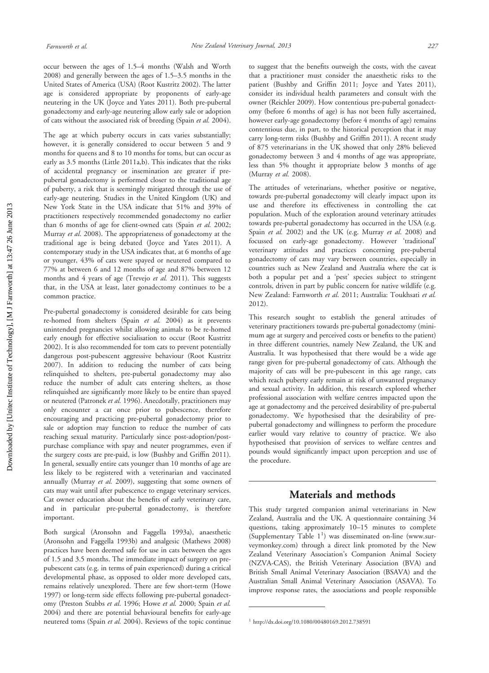occur between the ages of 1.5–4 months (Walsh and Worth 2008) and generally between the ages of 1.5–3.5 months in the United States of America (USA) (Root Kustritz 2002). The latter age is considered appropriate by proponents of early-age neutering in the UK (Joyce and Yates 2011). Both pre-pubertal gonadectomy and early-age neutering allow early sale or adoption of cats without the associated risk of breeding (Spain et al. 2004).

The age at which puberty occurs in cats varies substantially; however, it is generally considered to occur between 5 and 9 months for queens and 8 to 10 months for toms, but can occur as early as 3.5 months (Little 2011a,b). This indicates that the risks of accidental pregnancy or insemination are greater if prepubertal gonadectomy is performed closer to the traditional age of puberty, a risk that is seemingly mitigated through the use of early-age neutering. Studies in the United Kingdom (UK) and New York State in the USA indicate that 51% and 39% of practitioners respectively recommended gonadectomy no earlier than 6 months of age for client-owned cats (Spain et al. 2002; Murray et al. 2008). The appropriateness of gonadectomy at the traditional age is being debated (Joyce and Yates 2011). A contemporary study in the USA indicates that, at 6 months of age or younger, 43% of cats were spayed or neutered compared to 77% at between 6 and 12 months of age and 87% between 12 months and 4 years of age (Trevejo et al. 2011). This suggests that, in the USA at least, later gonadectomy continues to be a common practice.

Pre-pubertal gonadectomy is considered desirable for cats being re-homed from shelters (Spain et al. 2004) as it prevents unintended pregnancies whilst allowing animals to be re-homed early enough for effective socialisation to occur (Root Kustritz 2002). It is also recommended for tom cats to prevent potentially dangerous post-pubescent aggressive behaviour (Root Kustritz 2007). In addition to reducing the number of cats being relinquished to shelters, pre-pubertal gonadectomy may also reduce the number of adult cats entering shelters, as those relinquished are significantly more likely to be entire than spayed or neutered (Patronek et al. 1996). Anecdotally, practitioners may only encounter a cat once prior to pubescence, therefore encouraging and practicing pre-pubertal gonadectomy prior to sale or adoption may function to reduce the number of cats reaching sexual maturity. Particularly since post-adoption/postpurchase compliance with spay and neuter programmes, even if the surgery costs are pre-paid, is low (Bushby and Griffin 2011). In general, sexually entire cats younger than 10 months of age are less likely to be registered with a veterinarian and vaccinated annually (Murray et al. 2009), suggesting that some owners of cats may wait until after pubescence to engage veterinary services. Cat owner education about the benefits of early veterinary care, and in particular pre-pubertal gonadectomy, is therefore important.

Both surgical (Aronsohn and Faggella 1993a), anaesthetic (Aronsohn and Faggella 1993b) and analgesic (Mathews 2008) practices have been deemed safe for use in cats between the ages of 1.5 and 3.5 months. The immediate impact of surgery on prepubescent cats (e.g. in terms of pain experienced) during a critical developmental phase, as opposed to older more developed cats, remains relatively unexplored. There are few short-term (Howe 1997) or long-term side effects following pre-pubertal gonadectomy (Preston Stubbs et al. 1996; Howe et al. 2000; Spain et al. 2004) and there are potential behavioural benefits for early-age neutered toms (Spain et al. 2004). Reviews of the topic continue

to suggest that the benefits outweigh the costs, with the caveat that a practitioner must consider the anaesthetic risks to the patient (Bushby and Griffin 2011; Joyce and Yates 2011), consider its individual health parameters and consult with the owner (Reichler 2009). How contentious pre-pubertal gonadectomy (before 6 months of age) is has not been fully ascertained, however early-age gonadectomy (before 4 months of age) remains contentious due, in part, to the historical perception that it may carry long-term risks (Bushby and Griffin 2011). A recent study of 875 veterinarians in the UK showed that only 28% believed gonadectomy between 3 and 4 months of age was appropriate, less than 5% thought it appropriate below 3 months of age (Murray et al. 2008).

The attitudes of veterinarians, whether positive or negative, towards pre-pubertal gonadectomy will clearly impact upon its use and therefore its effectiveness in controlling the cat population. Much of the exploration around veterinary attitudes towards pre-pubertal gonadectomy has occurred in the USA (e.g. Spain et al. 2002) and the UK (e.g. Murray et al. 2008) and focussed on early-age gonadectomy. However 'traditional' veterinary attitudes and practices concerning pre-pubertal gonadectomy of cats may vary between countries, especially in countries such as New Zealand and Australia where the cat is both a popular pet and a 'pest' species subject to stringent controls, driven in part by public concern for native wildlife (e.g. New Zealand: Farnworth et al. 2011; Australia: Toukhsati et al. 2012).

This research sought to establish the general attitudes of veterinary practitioners towards pre-pubertal gonadectomy (minimum age at surgery and perceived costs or benefits to the patient) in three different countries, namely New Zealand, the UK and Australia. It was hypothesised that there would be a wide age range given for pre-pubertal gonadectomy of cats. Although the majority of cats will be pre-pubescent in this age range, cats which reach puberty early remain at risk of unwanted pregnancy and sexual activity. In addition, this research explored whether professional association with welfare centres impacted upon the age at gonadectomy and the perceived desirability of pre-pubertal gonadectomy. We hypothesised that the desirability of prepubertal gonadectomy and willingness to perform the procedure earlier would vary relative to country of practice. We also hypothesised that provision of services to welfare centres and pounds would significantly impact upon perception and use of the procedure.

## Materials and methods

This study targeted companion animal veterinarians in New Zealand, Australia and the UK. A questionnaire containing 34 questions, taking approximately 10–15 minutes to complete  $(Supplementary Table 1<sup>1</sup>)$  was disseminated on-line ([www.sur](http://www.surveymonkey.com)[veymonkey.com](http://www.surveymonkey.com)) through a direct link promoted by the New Zealand Veterinary Association's Companion Animal Society (NZVA-CAS), the British Veterinary Association (BVA) and British Small Animal Veterinary Association (BSAVA) and the Australian Small Animal Veterinary Association (ASAVA). To improve response rates, the associations and people responsible

<sup>1</sup> http://dx.doi.org/10.1080/00480169.2012.738591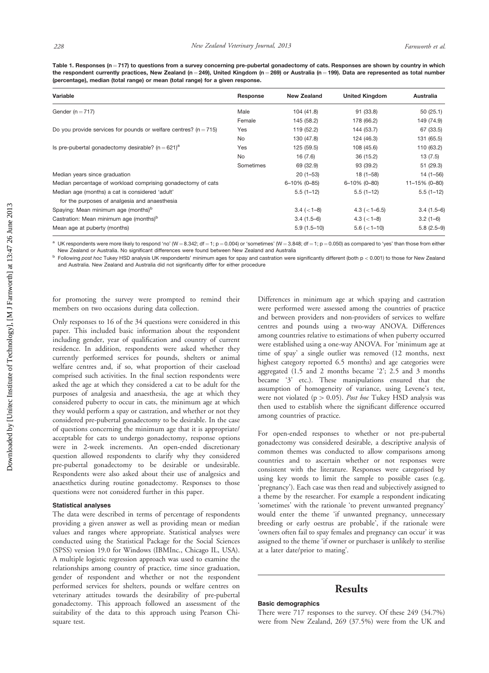Table 1. Responses ( $n = 717$ ) to questions from a survey concerning pre-pubertal gonadectomy of cats. Responses are shown by country in which the respondent currently practices, New Zealand (n = 249), United Kingdom (n = 269) or Australia (n = 199). Data are represented as total number (percentage), median (total range) or mean (total range) for a given response.

| Variable                                                             | Response  | <b>New Zealand</b> | <b>United Kingdom</b> | Australia     |
|----------------------------------------------------------------------|-----------|--------------------|-----------------------|---------------|
| Gender ( $n = 717$ )                                                 | Male      | 104 (41.8)         | 91 (33.8)             | 50(25.1)      |
|                                                                      | Female    | 145 (58.2)         | 178 (66.2)            | 149 (74.9)    |
| Do you provide services for pounds or welfare centres? ( $n = 715$ ) | Yes       | 119 (52.2)         | 144 (53.7)            | 67 (33.5)     |
|                                                                      | No        | 130 (47.8)         | 124 (46.3)            | 131 (65.5)    |
| Is pre-pubertal gonadectomy desirable? $(n = 621)^a$                 | Yes       | 125 (59.5)         | 108 (45.6)            | 110 (63.2)    |
|                                                                      | No        | 16(7.6)            | 36 (15.2)             | 13(7.5)       |
|                                                                      | Sometimes | 69 (32.9)          | 93 (39.2)             | 51 (29.3)     |
| Median years since graduation                                        |           | $20(1-53)$         | $18(1 - 58)$          | $14(1 - 56)$  |
| Median percentage of workload comprising gonadectomy of cats         |           | 6-10% (0-85)       | 6-10% (0-80)          | 11-15% (0-80) |
| Median age (months) a cat is considered 'adult'                      |           | $5.5(1-12)$        | $5.5(1-12)$           | $5.5(1-12)$   |
| for the purposes of analgesia and anaesthesia                        |           |                    |                       |               |
| Spaying: Mean minimum age (months) <sup>b</sup>                      |           | $3.4$ ( $<$ 1–8)   | 4.3 ( $<$ 1–6.5)      | $3.4(1.5-6)$  |
| Castration: Mean minimum age (months) <sup>b</sup>                   |           | $3.4(1.5-6)$       | 4.3 $(< 1-8)$         | $3.2(1-6)$    |
| Mean age at puberty (months)                                         |           | $5.9(1.5-10)$      | $5.6$ ( $<$ 1–10)     | $5.8(2.5-9)$  |

UK respondents were more likely to respond 'no' (W = 8.342; df = 1; p = 0.004) or 'sometimes' (W = 3.848; df = 1; p = 0.000) as compared to 'yes' than those from either New Zealand or Australia. No significant differences were found between New Zealand and Australia

 $^{\rm b}$  Following post hoc Tukey HSD analysis UK respondents' minimum ages for spay and castration were significantly different (both p < 0.001) to those for New Zealand and Australia. New Zealand and Australia did not significantly differ for either procedure

for promoting the survey were prompted to remind their members on two occasions during data collection.

Only responses to 16 of the 34 questions were considered in this paper. This included basic information about the respondent including gender, year of qualification and country of current residence. In addition, respondents were asked whether they currently performed services for pounds, shelters or animal welfare centres and, if so, what proportion of their caseload comprised such activities. In the final section respondents were asked the age at which they considered a cat to be adult for the purposes of analgesia and anaesthesia, the age at which they considered puberty to occur in cats, the minimum age at which they would perform a spay or castration, and whether or not they considered pre-pubertal gonadectomy to be desirable. In the case of questions concerning the minimum age that it is appropriate/ acceptable for cats to undergo gonadectomy, response options were in 2-week increments. An open-ended discretionary question allowed respondents to clarify why they considered pre-pubertal gonadectomy to be desirable or undesirable. Respondents were also asked about their use of analgesics and anaesthetics during routine gonadectomy. Responses to those questions were not considered further in this paper.

#### Statistical analyses

The data were described in terms of percentage of respondents providing a given answer as well as providing mean or median values and ranges where appropriate. Statistical analyses were conducted using the Statistical Package for the Social Sciences (SPSS) version 19.0 for Windows (IBMInc., Chicago IL, USA). A multiple logistic regression approach was used to examine the relationships among country of practice, time since graduation, gender of respondent and whether or not the respondent performed services for shelters, pounds or welfare centres on veterinary attitudes towards the desirability of pre-pubertal gonadectomy. This approach followed an assessment of the suitability of the data to this approach using Pearson Chisquare test.

Differences in minimum age at which spaying and castration were performed were assessed among the countries of practice and between providers and non-providers of services to welfare centres and pounds using a two-way ANOVA. Differences among countries relative to estimations of when puberty occurred were established using a one-way ANOVA. For 'minimum age at time of spay' a single outlier was removed (12 months, next highest category reported 6.5 months) and age categories were aggregated (1.5 and 2 months became '2'; 2.5 and 3 months became '3' etc.). These manipulations ensured that the assumption of homogeneity of variance, using Levene's test, were not violated ( $p > 0.05$ ). Post hoc Tukey HSD analysis was then used to establish where the significant difference occurred among countries of practice.

For open-ended responses to whether or not pre-pubertal gonadectomy was considered desirable, a descriptive analysis of common themes was conducted to allow comparisons among countries and to ascertain whether or not responses were consistent with the literature. Responses were categorised by using key words to limit the sample to possible cases (e.g. 'pregnancy'). Each case was then read and subjectively assigned to a theme by the researcher. For example a respondent indicating 'sometimes' with the rationale 'to prevent unwanted pregnancy' would enter the theme 'if unwanted pregnancy, unnecessary breeding or early oestrus are probable', if the rationale were 'owners often fail to spay females and pregnancy can occur' it was assigned to the theme 'if owner or purchaser is unlikely to sterilise at a later date/prior to mating'.

#### Results

#### Basic demographics

There were 717 responses to the survey. Of these 249 (34.7%) were from New Zealand, 269 (37.5%) were from the UK and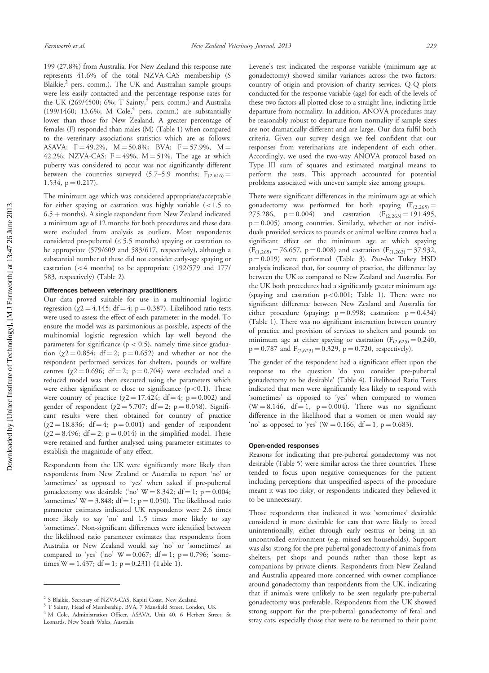199 (27.8%) from Australia. For New Zealand this response rate represents 41.6% of the total NZVA-CAS membership (S Blaikie,<sup>2</sup> pers. comm.). The UK and Australian sample groups were less easily contacted and the percentage response rates for the UK (269/4500; 6%; T Sainty, $3$  pers. comm.) and Australia (199/1460; 13.6%; M Cole, $4$  pers. comm.) are substantially lower than those for New Zealand. A greater percentage of females (F) responded than males (M) (Table 1) when compared to the veterinary associations statistics which are as follows: ASAVA:  $F = 49.2\%$ ,  $M = 50.8\%$ ; BVA:  $F = 57.9\%$ ,  $M =$ 42.2%; NZVA-CAS:  $F = 49\%$ , M = 51%. The age at which puberty was considered to occur was not significantly different between the countries surveyed (5.7–5.9 months;  $F_{(2,616)} =$ 1.534,  $p = 0.217$ ).

The minimum age which was considered appropriate/acceptable for either spaying or castration was highly variable  $(<1.5$  to  $6.5 +$  months). A single respondent from New Zealand indicated a minimum age of 12 months for both procedures and these data were excluded from analysis as outliers. Most respondents considered pre-pubertal ( $\leq$  5.5 months) spaying or castration to be appropriate (579/609 and 583/617, respectively), although a substantial number of these did not consider early-age spaying or castration  $(< 4$  months) to be appropriate  $(192/579$  and  $177/$ 583, respectively) (Table 2).

#### Differences between veterinary practitioners

Our data proved suitable for use in a multinomial logistic regression ( $\chi$ 2 = 4.145; df = 4; p = 0.387). Likelihood ratio tests were used to assess the effect of each parameter in the model. To ensure the model was as parsimonious as possible, aspects of the multinomial logistic regression which lay well beyond the parameters for significance ( $p < 0.5$ ), namely time since graduation ( $\chi$ 2 = 0.854; df = 2; p = 0.652) and whether or not the respondent performed services for shelters, pounds or welfare centres ( $\chi$ 2 = 0.696; df = 2; p = 0.704) were excluded and a reduced model was then executed using the parameters which were either significant or close to significance  $(p<0.1)$ . These were country of practice ( $\chi$ 2 = 17.424; df = 4; p = 0.002) and gender of respondent ( $\chi$ 2 = 5.707; df = 2; p = 0.058). Significant results were then obtained for country of practice  $(\chi2 = 18.836; df = 4; p = 0.001)$  and gender of respondent  $(\chi2 = 8.496; df = 2; p = 0.014)$  in the simplified model. These were retained and further analysed using parameter estimates to establish the magnitude of any effect.

Respondents from the UK were significantly more likely than respondents from New Zealand or Australia to report 'no' or 'sometimes' as opposed to 'yes' when asked if pre-pubertal gonadectomy was desirable ('no'  $W = 8.342$ ; df = 1; p = 0.004; 'sometimes'  $W = 3.848$ ; df = 1; p = 0.050). The likelihood ratio parameter estimates indicated UK respondents were 2.6 times more likely to say 'no' and 1.5 times more likely to say 'sometimes'. Non-significant differences were identified between the likelihood ratio parameter estimates that respondents from Australia or New Zealand would say 'no' or 'sometimes' as compared to 'yes' ('no'  $W = 0.067$ ; df = 1; p = 0.796; 'sometimes'W = 1.437; df = 1; p = 0.231) (Table 1).

Levene's test indicated the response variable (minimum age at gonadectomy) showed similar variances across the two factors: country of origin and provision of charity services. Q-Q plots conducted for the response variable (age) for each of the levels of these two factors all plotted close to a straight line, indicting little departure from normality. In addition, ANOVA procedures may be reasonably robust to departure from normality if sample sizes are not dramatically different and are large. Our data fulfil both criteria. Given our survey design we feel confident that our responses from veterinarians are independent of each other. Accordingly, we used the two-way ANOVA protocol based on Type III sum of squares and estimated marginal means to perform the tests. This approach accounted for potential problems associated with uneven sample size among groups.

There were significant differences in the minimum age at which gonadectomy was performed for both spaying  $(F_{(2,265)} =$ 275.286,  $p = 0.004$ ) and castration  $(F_{(2,263)} = 191.495)$ ,  $p = 0.005$ ) among countries. Similarly, whether or not individuals provided services to pounds or animal welfare centres had a significant effect on the minimum age at which spaying  $(F_{(1,265)} = 76.657, p = 0.008)$  and castration  $(F_{(1,263)} = 37.932,$  $p = 0.019$ ) were performed (Table 3). Post-hoc Tukey HSD analysis indicated that, for country of practice, the difference lay between the UK as compared to New Zealand and Australia. For the UK both procedures had a significantly greater minimum age (spaying and castration  $p<0.001$ ; Table 1). There were no significant difference between New Zealand and Australia for either procedure (spaying:  $p = 0.998$ ; castration:  $p = 0.434$ ) (Table 1). There was no significant interaction between country of practice and provision of services to shelters and pounds on minimum age at either spaying or castration ( $F_{(2,625)} = 0.240$ ,  $p = 0.787$  and  $F_{(2,623)} = 0.329$ ,  $p = 0.720$ , respectively).

The gender of the respondent had a significant effect upon the response to the question 'do you consider pre-pubertal gonadectomy to be desirable' (Table 4). Likelihood Ratio Tests indicated that men were significantly less likely to respond with 'sometimes' as opposed to 'yes' when compared to women  $(W = 8.146, df = 1, p = 0.004)$ . There was no significant difference in the likelihood that a women or men would say 'no' as opposed to 'yes' (W = 0.166, df = 1, p = 0.683).

#### Open-ended responses

Reasons for indicating that pre-pubertal gonadectomy was not desirable (Table 5) were similar across the three countries. These tended to focus upon negative consequences for the patient including perceptions that unspecified aspects of the procedure meant it was too risky, or respondents indicated they believed it to be unnecessary.

Those respondents that indicated it was 'sometimes' desirable considered it more desirable for cats that were likely to breed unintentionally, either through early oestrus or being in an uncontrolled environment (e.g. mixed-sex households). Support was also strong for the pre-pubertal gonadectomy of animals from shelters, pet shops and pounds rather than those kept as companions by private clients. Respondents from New Zealand and Australia appeared more concerned with owner compliance around gonadectomy than respondents from the UK, indicating that if animals were unlikely to be seen regularly pre-pubertal gonadectomy was preferable. Respondents from the UK showed strong support for the pre-pubertal gonadectomy of feral and stray cats, especially those that were to be returned to their point

<sup>&</sup>lt;sup>2</sup> S Blaikie, Secretary of NZVA-CAS, Kapiti Coast, New Zealand

<sup>&</sup>lt;sup>3</sup> T Sainty, Head of Membership, BVA, 7 Mansfield Street, London, UK

<sup>&</sup>lt;sup>4</sup> M Cole, Administration Officer, ASAVA, Unit 40, 6 Herbert Street, St Leonards, New South Wales, Australia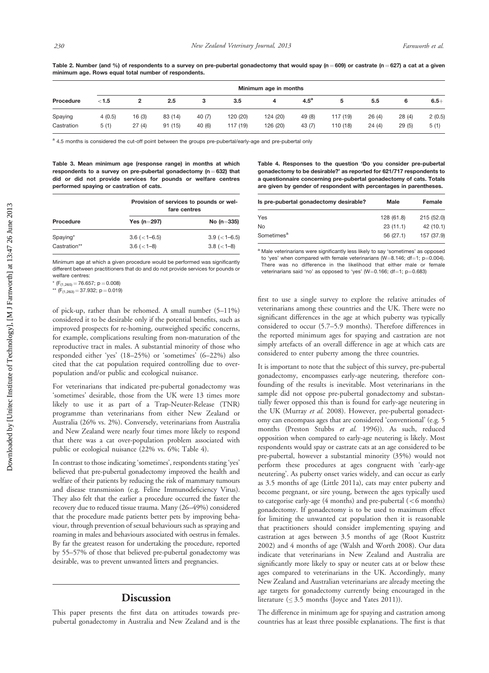|            | Minimum age in months |       |         |        |          |          |               |          |       |       |        |
|------------|-----------------------|-------|---------|--------|----------|----------|---------------|----------|-------|-------|--------|
| Procedure  | < 1.5                 |       | 2.5     |        | 3.5      | 4        | $4.5^{\circ}$ | 5        | 5.5   | 6     | $6.5+$ |
| Spaying    | 4(0.5)                | 16(3) | 83 (14) | 40(7)  | 120 (20) | 124 (20) | 49 (8)        | 117 (19) | 26(4) | 28(4) | 2(0.5) |
| Castration | 5(1)                  | 27(4) | 91(15)  | 40 (6) | 117 (19) | 126 (20) | 43 (7)        | 110 (18) | 24(4) | 29(5) | 5(1)   |

Table 2. Number (and %) of respondents to a survey on pre-pubertal gonadectomy that would spay (n = 609) or castrate (n = 627) a cat at a given minimum age. Rows equal total number of respondents.

<sup>a</sup> 4.5 months is considered the cut-off point between the groups pre-pubertal/early-age and pre-pubertal only

Table 3. Mean minimum age (response range) in months at which respondents to a survey on pre-pubertal gonadectomy ( $n = 632$ ) that did or did not provide services for pounds or welfare centres performed spaying or castration of cats.

| Table 4. Responses to the question 'Do you consider pre-pubertal     |
|----------------------------------------------------------------------|
| gonadectomy to be desirable?' as reported for 621/717 respondents to |
| a questionnaire concerning pre-pubertal gonadectomy of cats. Totals  |
| are given by gender of respondent with percentages in parentheses.   |

|              | Provision of services to pounds or wel-<br>fare centres |                    |  |  |
|--------------|---------------------------------------------------------|--------------------|--|--|
| Procedure    | Yes (n $=$ 297)                                         | No ( $n=335$ )     |  |  |
| Spaying*     | $3.6$ ( $<$ 1–6.5)                                      | $3.9$ ( $<$ 1–6.5) |  |  |
| Castration** | $3.6 (< -1 - 8)$                                        | $3.8$ ( $<$ 1-8)   |  |  |

Minimum age at which a given procedure would be performed was significantly different between practitioners that do and do not provide services for pounds or welfare centres:

 $*$  (F<sub>(1,265)</sub> = 76.657; p = 0.008)

\*\*  $(F_{(1,263)} = 37.932; p = 0.019)$ 

of pick-up, rather than be rehomed. A small number (5–11%) considered it to be desirable only if the potential benefits, such as improved prospects for re-homing, outweighed specific concerns, for example, complications resulting from non-maturation of the reproductive tract in males. A substantial minority of those who responded either 'yes' (18–25%) or 'sometimes' (6–22%) also cited that the cat population required controlling due to overpopulation and/or public and ecological nuisance.

For veterinarians that indicated pre-pubertal gonadectomy was 'sometimes' desirable, those from the UK were 13 times more likely to use it as part of a Trap-Neuter-Release (TNR) programme than veterinarians from either New Zealand or Australia (26% vs. 2%). Conversely, veterinarians from Australia and New Zealand were nearly four times more likely to respond that there was a cat over-population problem associated with public or ecological nuisance (22% vs. 6%; Table 4).

In contrast to those indicating 'sometimes', respondents stating 'yes' believed that pre-pubertal gonadectomy improved the health and welfare of their patients by reducing the risk of mammary tumours and disease transmission (e.g. Feline Immunodeficiency Virus). They also felt that the earlier a procedure occurred the faster the recovery due to reduced tissue trauma. Many (26–49%) considered that the procedure made patients better pets by improving behaviour, through prevention of sexual behaviours such as spraying and roaming in males and behaviours associated with oestrus in females. By far the greatest reason for undertaking the procedure, reported by 55–57% of those that believed pre-pubertal gonadectomy was desirable, was to prevent unwanted litters and pregnancies.

## **Discussion**

This paper presents the first data on attitudes towards prepubertal gonadectomy in Australia and New Zealand and is the Is pre-pubertal gonadectomy desirable? Male Female

Yes 128 (61.8) 215 (52.0) No 23 (11.1) 42 (10.1) Sometimes<sup>a</sup> 56 (27.1) 157 (37.9)

a Male veterinarians were significantly less likely to say 'sometimes' as opposed to 'yes' when compared with female veterinarians (W=8.146; df=1; p=0.004). There was no difference in the likelihood that either male or female veterinarians said 'no' as opposed to 'yes' (W=0.166; df=1; p=0.683)

first to use a single survey to explore the relative attitudes of veterinarians among these countries and the UK. There were no significant differences in the age at which puberty was typically considered to occur (5.7–5.9 months). Therefore differences in the reported minimum ages for spaying and castration are not simply artefacts of an overall difference in age at which cats are considered to enter puberty among the three countries.

It is important to note that the subject of this survey, pre-pubertal gonadectomy, encompasses early-age neutering, therefore confounding of the results is inevitable. Most veterinarians in the sample did not oppose pre-pubertal gonadectomy and substantially fewer opposed this than is found for early-age neutering in the UK (Murray et al. 2008). However, pre-pubertal gonadectomy can encompass ages that are considered 'conventional' (e.g. 5 months (Preston Stubbs et al. 1996)). As such, reduced opposition when compared to early-age neutering is likely. Most respondents would spay or castrate cats at an age considered to be pre-pubertal, however a substantial minority (35%) would not perform these procedures at ages congruent with 'early-age neutering'. As puberty onset varies widely, and can occur as early as 3.5 months of age (Little 2011a), cats may enter puberty and become pregnant, or sire young, between the ages typically used to categorise early-age  $(4$  months) and pre-pubertal  $(< 6$  months) gonadectomy. If gonadectomy is to be used to maximum effect for limiting the unwanted cat population then it is reasonable that practitioners should consider implementing spaying and castration at ages between 3.5 months of age (Root Kustritz 2002) and 4 months of age (Walsh and Worth 2008). Our data indicate that veterinarians in New Zealand and Australia are significantly more likely to spay or neuter cats at or below these ages compared to veterinarians in the UK. Accordingly, many New Zealand and Australian veterinarians are already meeting the age targets for gonadectomy currently being encouraged in the literature ( $\leq$  3.5 months (Joyce and Yates 2011)).

The difference in minimum age for spaying and castration among countries has at least three possible explanations. The first is that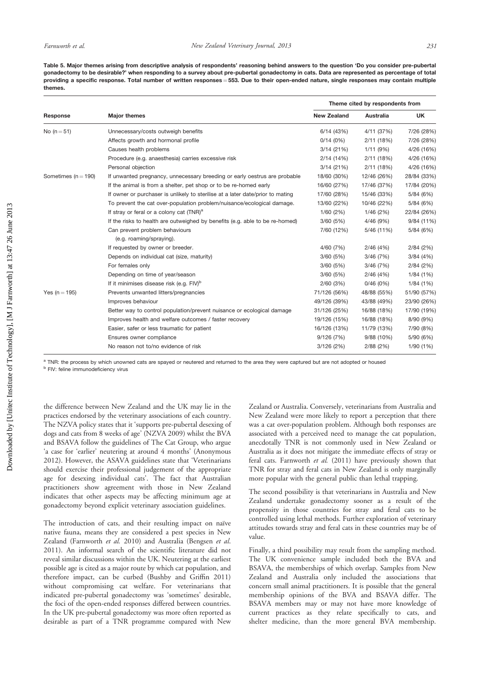Table 5. Major themes arising from descriptive analysis of respondents' reasoning behind answers to the question 'Do you consider pre-pubertal gonadectomy to be desirable?' when responding to a survey about pre-pubertal gonadectomy in cats. Data are represented as percentage of total providing a specific response. Total number of written responses = 553. Due to their open-ended nature, single responses may contain multiple themes.

|                         |                                                                                | Theme cited by respondents from |                  |             |  |
|-------------------------|--------------------------------------------------------------------------------|---------------------------------|------------------|-------------|--|
| Response                | <b>Major themes</b>                                                            | <b>New Zealand</b>              | <b>Australia</b> | <b>UK</b>   |  |
| No $(n = 51)$           | Unnecessary/costs outweigh benefits                                            | 6/14 (43%)                      | 4/11 (37%)       | 7/26 (28%)  |  |
|                         | Affects growth and hormonal profile                                            | 0/14(0%)                        | 2/11(18%)        | 7/26 (28%)  |  |
|                         | Causes health problems                                                         | 3/14(21%)                       | 1/11(9%)         | 4/26 (16%)  |  |
|                         | Procedure (e.g. anaesthesia) carries excessive risk                            | 2/14(14%)                       | 2/11(18%)        | 4/26 (16%)  |  |
|                         | Personal objection                                                             | 3/14(21%)                       | 2/11(18%)        | 4/26 (16%)  |  |
| Sometimes ( $n = 190$ ) | If unwanted pregnancy, unnecessary breeding or early oestrus are probable      | 18/60 (30%)                     | 12/46 (26%)      | 28/84 (33%) |  |
|                         | If the animal is from a shelter, pet shop or to be re-homed early              | 16/60 (27%)                     | 17/46 (37%)      | 17/84 (20%) |  |
|                         | If owner or purchaser is unlikely to sterilise at a later date/prior to mating | 17/60 (28%)                     | 15/46 (33%)      | 5/84(6%)    |  |
|                         | To prevent the cat over-population problem/nuisance/ecological damage.         | 13/60 (22%)                     | 10/46 (22%)      | 5/84 (6%)   |  |
|                         | If stray or feral or a colony cat (TNR) <sup>a</sup>                           | 1/60(2%)                        | 1/46 (2%)        | 22/84 (26%) |  |
|                         | If the risks to health are outweighed by benefits (e.g. able to be re-homed)   | 3/60(5%)                        | 4/46 (9%)        | 9/84 (11%)  |  |
|                         | Can prevent problem behaviours                                                 | 7/60 (12%)                      | 5/46 (11%)       | 5/84(6%)    |  |
|                         | (e.g. roaming/spraying).                                                       |                                 |                  |             |  |
|                         | If requested by owner or breeder.                                              | 4/60 (7%)                       | 2/46(4%)         | 2/84(2%)    |  |
|                         | Depends on individual cat (size, maturity)                                     | 3/60(5%)                        | 3/46(7%)         | 3/84(4%)    |  |
|                         | For females only                                                               | 3/60(5%)                        | 3/46(7%)         | 2/84(2%)    |  |
|                         | Depending on time of year/season                                               | 3/60(5%)                        | 2/46(4%)         | 1/84(1%)    |  |
|                         | If it minimises disease risk (e.g. FIV) <sup>b</sup>                           | 2/60(3%)                        | 0/46(0%)         | 1/84(1%)    |  |
| Yes ( $n = 195$ )       | Prevents unwanted litters/pregnancies                                          | 71/126 (56%)                    | 48/88 (55%)      | 51/90 (57%) |  |
|                         | Improves behaviour                                                             | 49/126 (39%)                    | 43/88 (49%)      | 23/90 (26%) |  |
|                         | Better way to control population/prevent nuisance or ecological damage         | 31/126 (25%)                    | 16/88 (18%)      | 17/90 (19%) |  |
|                         | Improves health and welfare outcomes / faster recovery                         | 19/126 (15%)                    | 16/88 (18%)      | 8/90 (9%)   |  |
|                         | Easier, safer or less traumatic for patient                                    | 16/126 (13%)                    | 11/79 (13%)      | 7/90 (8%)   |  |
|                         | Ensures owner compliance                                                       | 9/126 (7%)                      | 9/88 (10%)       | 5/90 (6%)   |  |
|                         | No reason not to/no evidence of risk                                           | 3/126(2%)                       | 2/88(2%)         | 1/90 (1%)   |  |

a TNR: the process by which unowned cats are spayed or neutered and returned to the area they were captured but are not adopted or housed

<sup>b</sup> FIV: feline immunodeficiency virus

the difference between New Zealand and the UK may lie in the practices endorsed by the veterinary associations of each country. The NZVA policy states that it 'supports pre-pubertal desexing of dogs and cats from 8 weeks of age' (NZVA 2009) whilst the BVA and BSAVA follow the guidelines of The Cat Group, who argue 'a case for 'earlier' neutering at around 4 months' (Anonymous 2012). However, the ASAVA guidelines state that 'Veterinarians should exercise their professional judgement of the appropriate age for desexing individual cats'. The fact that Australian practitioners show agreement with those in New Zealand indicates that other aspects may be affecting minimum age at gonadectomy beyond explicit veterinary association guidelines.

The introduction of cats, and their resulting impact on naïve native fauna, means they are considered a pest species in New Zealand (Farnworth et al. 2010) and Australia (Bengsen et al. 2011). An informal search of the scientific literature did not reveal similar discussions within the UK. Neutering at the earliest possible age is cited as a major route by which cat population, and therefore impact, can be curbed (Bushby and Griffin 2011) without compromising cat welfare. For veterinarians that indicated pre-pubertal gonadectomy was 'sometimes' desirable, the foci of the open-ended responses differed between countries. In the UK pre-pubertal gonadectomy was more often reported as desirable as part of a TNR programme compared with New

Zealand or Australia. Conversely, veterinarians from Australia and New Zealand were more likely to report a perception that there was a cat over-population problem. Although both responses are associated with a perceived need to manage the cat population, anecdotally TNR is not commonly used in New Zealand or Australia as it does not mitigate the immediate effects of stray or feral cats. Farnworth et al. (2011) have previously shown that TNR for stray and feral cats in New Zealand is only marginally more popular with the general public than lethal trapping.

The second possibility is that veterinarians in Australia and New Zealand undertake gonadectomy sooner as a result of the propensity in those countries for stray and feral cats to be controlled using lethal methods. Further exploration of veterinary attitudes towards stray and feral cats in these countries may be of value.

Finally, a third possibility may result from the sampling method. The UK convenience sample included both the BVA and BSAVA, the memberships of which overlap. Samples from New Zealand and Australia only included the associations that concern small animal practitioners. It is possible that the general membership opinions of the BVA and BSAVA differ. The BSAVA members may or may not have more knowledge of current practices as they relate specifically to cats, and shelter medicine, than the more general BVA membership.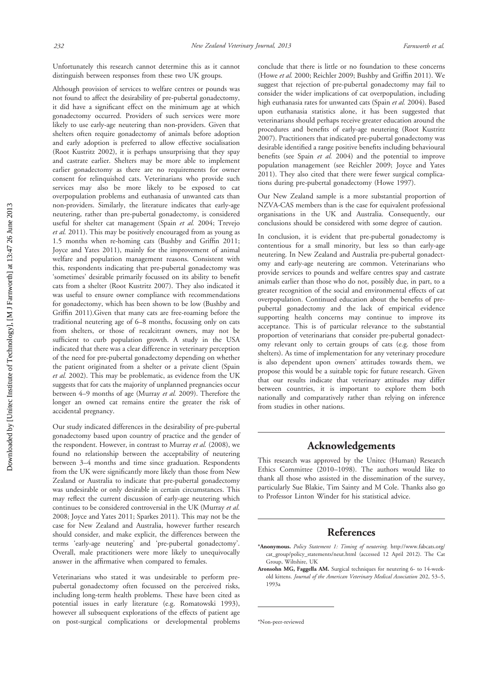Unfortunately this research cannot determine this as it cannot distinguish between responses from these two UK groups.

Although provision of services to welfare centres or pounds was not found to affect the desirability of pre-pubertal gonadectomy, it did have a significant effect on the minimum age at which gonadectomy occurred. Providers of such services were more likely to use early-age neutering than non-providers. Given that shelters often require gonadectomy of animals before adoption and early adoption is preferred to allow effective socialisation (Root Kustritz 2002), it is perhaps unsurprising that they spay and castrate earlier. Shelters may be more able to implement earlier gonadectomy as there are no requirements for owner consent for relinquished cats. Veterinarians who provide such services may also be more likely to be exposed to cat overpopulation problems and euthanasia of unwanted cats than non-providers. Similarly, the literature indicates that early-age neutering, rather than pre-pubertal gonadectomy, is considered useful for shelter cat management (Spain et al. 2004; Trevejo et al. 2011). This may be positively encouraged from as young as 1.5 months when re-homing cats (Bushby and Griffin 2011; Joyce and Yates 2011), mainly for the improvement of animal welfare and population management reasons. Consistent with this, respondents indicating that pre-pubertal gonadectomy was 'sometimes' desirable primarily focussed on its ability to benefit cats from a shelter (Root Kustritz 2007). They also indicated it was useful to ensure owner compliance with recommendations for gonadectomy, which has been shown to be low (Bushby and Griffin 2011).Given that many cats are free-roaming before the traditional neutering age of 6–8 months, focussing only on cats from shelters, or those of recalcitrant owners, may not be sufficient to curb population growth. A study in the USA indicated that there was a clear difference in veterinary perception of the need for pre-pubertal gonadectomy depending on whether the patient originated from a shelter or a private client (Spain et al. 2002). This may be problematic, as evidence from the UK suggests that for cats the majority of unplanned pregnancies occur between 4–9 months of age (Murray et al. 2009). Therefore the longer an owned cat remains entire the greater the risk of accidental pregnancy.

Our study indicated differences in the desirability of pre-pubertal gonadectomy based upon country of practice and the gender of the respondent. However, in contrast to Murray *et al.* (2008), we found no relationship between the acceptability of neutering between 3–4 months and time since graduation. Respondents from the UK were significantly more likely than those from New Zealand or Australia to indicate that pre-pubertal gonadectomy was undesirable or only desirable in certain circumstances. This may reflect the current discussion of early-age neutering which continues to be considered controversial in the UK (Murray et al. 2008; Joyce and Yates 2011; Sparkes 2011). This may not be the case for New Zealand and Australia, however further research should consider, and make explicit, the differences between the terms 'early-age neutering' and 'pre-pubertal gonadectomy'. Overall, male practitioners were more likely to unequivocally answer in the affirmative when compared to females.

Veterinarians who stated it was undesirable to perform prepubertal gonadectomy often focussed on the perceived risks, including long-term health problems. These have been cited as potential issues in early literature (e.g. Romatowski 1993), however all subsequent explorations of the effects of patient age on post-surgical complications or developmental problems conclude that there is little or no foundation to these concerns (Howe et al. 2000; Reichler 2009; Bushby and Griffin 2011). We suggest that rejection of pre-pubertal gonadectomy may fail to consider the wider implications of cat overpopulation, including high euthanasia rates for unwanted cats (Spain et al. 2004). Based upon euthanasia statistics alone, it has been suggested that veterinarians should perhaps receive greater education around the procedures and benefits of early-age neutering (Root Kustritz 2007). Practitioners that indicated pre-pubertal gonadectomy was desirable identified a range positive benefits including behavioural benefits (see Spain et al. 2004) and the potential to improve population management (see Reichler 2009; Joyce and Yates 2011). They also cited that there were fewer surgical complications during pre-pubertal gonadectomy (Howe 1997).

Our New Zealand sample is a more substantial proportion of NZVA-CAS members than is the case for equivalent professional organisations in the UK and Australia. Consequently, our conclusions should be considered with some degree of caution.

In conclusion, it is evident that pre-pubertal gonadectomy is contentious for a small minority, but less so than early-age neutering. In New Zealand and Australia pre-pubertal gonadectomy and early-age neutering are common. Veterinarians who provide services to pounds and welfare centres spay and castrate animals earlier than those who do not, possibly due, in part, to a greater recognition of the social and environmental effects of cat overpopulation. Continued education about the benefits of prepubertal gonadectomy and the lack of empirical evidence supporting health concerns may continue to improve its acceptance. This is of particular relevance to the substantial proportion of veterinarians that consider pre-pubertal gonadectomy relevant only to certain groups of cats (e.g. those from shelters). As time of implementation for any veterinary procedure is also dependent upon owners' attitudes towards them, we propose this would be a suitable topic for future research. Given that our results indicate that veterinary attitudes may differ between countries, it is important to explore them both nationally and comparatively rather than relying on inference from studies in other nations.

## Acknowledgements

This research was approved by the Unitec (Human) Research Ethics Committee (2010–1098). The authors would like to thank all those who assisted in the dissemination of the survey, particularly Sue Blakie, Tim Sainty and M Cole. Thanks also go to Professor Linton Winder for his statistical advice.

## **References**

- \*Anonymous. Policy Statement 1: Timing of neutering. [http://www.fabcats.org/](http://www.fabcats.org/cat_group/policy_statements/neut.html) [cat\\_group/policy\\_statements/neut.html](http://www.fabcats.org/cat_group/policy_statements/neut.html) (accessed 12 April 2012). The Cat Group, Wiltshire, UK
- Aronsohn MG, Faggella AM. Surgical techniques for neutering 6- to 14-weekold kittens. Journal of the American Veterinary Medical Association 202, 53–5, 1993a

\*Non-peer-reviewed